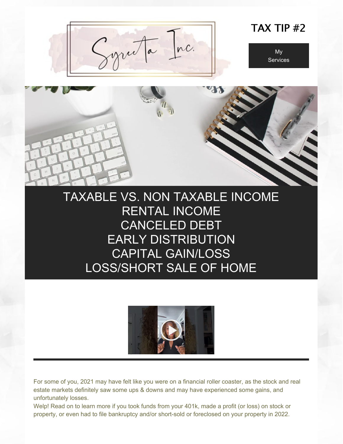

## TAX TIP #2





# TAXABLE VS. NON TAXABLE INCOME RENTAL INCOME CANCELED DEBT EARLY DISTRIBUTION CAPITAL GAIN/LOSS LOSS/SHORT SALE OF HOME



For some of you, 2021 may have felt like you were on a financial roller coaster, as the stock and real estate markets definitely saw some ups & downs and may have experienced some gains, and unfortunately losses.

Welp! Read on to learn more if you took funds from your 401k, made a profit (or loss) on stock or property, or even had to file bankruptcy and/or short-sold or foreclosed on your property in 2022.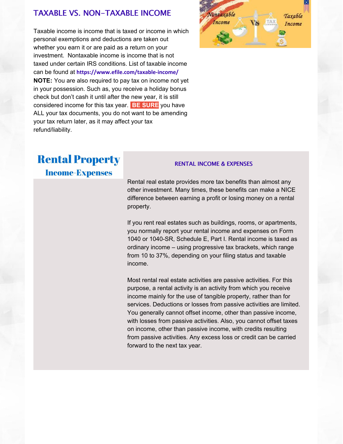### TAXABLE VS. NON-TAXABLE INCOME

Taxable income is income that is taxed or income in which personal exemptions and deductions are taken out whether you earn it or are paid as a return on your investment. Nontaxable income is income that is not taxed under certain IRS conditions. List of taxable income can be found at **<https://www.efile.com/taxable-income/> NOTE:** You are also required to pay tax on income not yet in your possession. Such as, you receive a holiday bonus check but don't cash it until after the new year, it is still considered income for this tax year. **BE SURE** you have ALL your tax documents, you do not want to be amending your tax return later, as it may affect your tax refund/liability.



# **Rental Property**

**Income-Expenses** 

#### RENTAL INCOME & EXPENSES

Rental real estate provides more tax benefits than almost any other investment. Many times, these benefits can make a NICE difference between earning a profit or losing money on a rental property.

If you rent real estates such as buildings, rooms, or apartments, you normally report your rental income and expenses on Form 1040 or 1040-SR, Schedule E, Part I. Rental income is taxed as ordinary income – using progressive tax brackets, which range from 10 to 37%, depending on your filing status and taxable income.

Most rental real estate activities are passive activities. For this purpose, a rental activity is an activity from which you receive income mainly for the use of tangible property, rather than for services. Deductions or losses from passive activities are limited. You generally cannot offset income, other than passive income, with losses from passive activities. Also, you cannot offset taxes on income, other than passive income, with credits resulting from passive activities. Any excess loss or credit can be carried forward to the next tax year.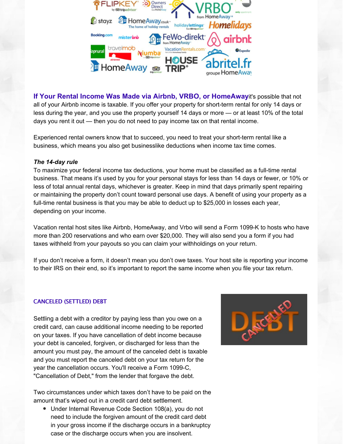

**If Your Rental Income Was Made via Airbnb, VRBO, or HomeAway**it's possible that not all of your Airbnb income is taxable. If you offer your property for short-term rental for only 14 days or less during the year, and you use the property yourself 14 days or more — or at least 10% of the total days you rent it out — then you do not need to pay income tax on that rental income.

Experienced rental owners know that to succeed, you need to treat your short-term rental like a business, which means you also get businesslike deductions when income tax time comes.

#### *The 14-day rule*

To maximize your federal income tax deductions, your home must be classified as a full-time rental business. That means it's used by you for your personal stays for less than 14 days or fewer, or 10% or less of total annual rental days, whichever is greater. Keep in mind that days primarily spent repairing or maintaining the property don't count toward personal use days. A benefit of using your property as a full-time rental business is that you may be able to deduct up to \$25,000 in losses each year, depending on your income.

Vacation rental host sites like Airbnb, HomeAway, and Vrbo will send a Form 1099-K to hosts who have more than 200 reservations and who earn over \$20,000. They will also send you a form if you had taxes withheld from your payouts so you can claim your withholdings on your return.

If you don't receive a form, it doesn't mean you don't owe taxes. Your host site is reporting your income to their IRS on their end, so it's important to report the same income when you file your tax return.

#### CANCELED (SETTLED) DEBT

Settling a debt with a creditor by paying less than you owe on a credit card, can cause additional income needing to be reported on your taxes. If you have cancellation of debt income because your debt is canceled, forgiven, or discharged for less than the amount you must pay, the amount of the canceled debt is taxable and you must report the canceled debt on your tax return for the year the cancellation occurs. You'll receive a Form 1099-C, "Cancellation of Debt," from the lender that forgave the debt.

Two circumstances under which taxes don't have to be paid on the amount that's wiped out in a credit card debt settlement.

Under Internal Revenue Code Section 108(a), you do not need to include the forgiven amount of the credit card debt in your gross income if the discharge occurs in a bankruptcy case or the discharge occurs when you are insolvent.

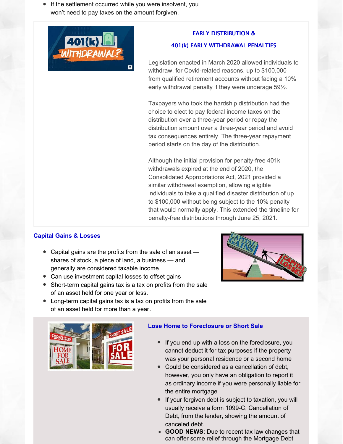If the settlement occurred while you were insolvent, you won't need to pay taxes on the amount forgiven.



#### EARLY DISTRIBUTION &

#### 401(k) EARLY WITHDRAWAL PENALTIES

Legislation enacted in March 2020 allowed individuals to withdraw, for Covid-related reasons, up to \$100,000 from qualified retirement accounts without facing a 10% early withdrawal penalty if they were underage 59½.

Taxpayers who took the hardship distribution had the choice to elect to pay federal income taxes on the distribution over a three-year period or repay the distribution amount over a three-year period and avoid tax consequences entirely. The three-year repayment period starts on the day of the distribution.

Although the initial provision for penalty-free 401k withdrawals expired at the end of 2020, the Consolidated Appropriations Act, 2021 provided a similar withdrawal exemption, allowing eligible individuals to take a qualified disaster distribution of up to \$100,000 without being subject to the 10% penalty that would normally apply. This extended the timeline for penalty-free distributions through June 25, 2021.

### **Capital Gains & Losses**

- Capital gains are the profits from the sale of an asset shares of stock, a piece of land, a business — and generally are considered taxable income.
- Can use investment capital losses to offset gains
- Short-term capital gains tax is a tax on profits from the sale of an asset held for one year or less.
- Long-term capital gains tax is a tax on profits from the sale of an asset held for more than a year.





#### **Lose Home to Foreclosure or Short Sale**

- If you end up with a loss on the foreclosure, you cannot deduct it for tax purposes if the property was your personal residence or a second home
- Could be considered as a cancellation of debt, however, you only have an obligation to report it as ordinary income if you were personally liable for the entire mortgage
- If your forgiven debt is subject to taxation, you will usually receive a form 1099-C, Cancellation of Debt, from the lender, showing the amount of canceled debt.
- **GOOD NEWS**: Due to recent tax law changes that can offer some relief through the Mortgage Debt